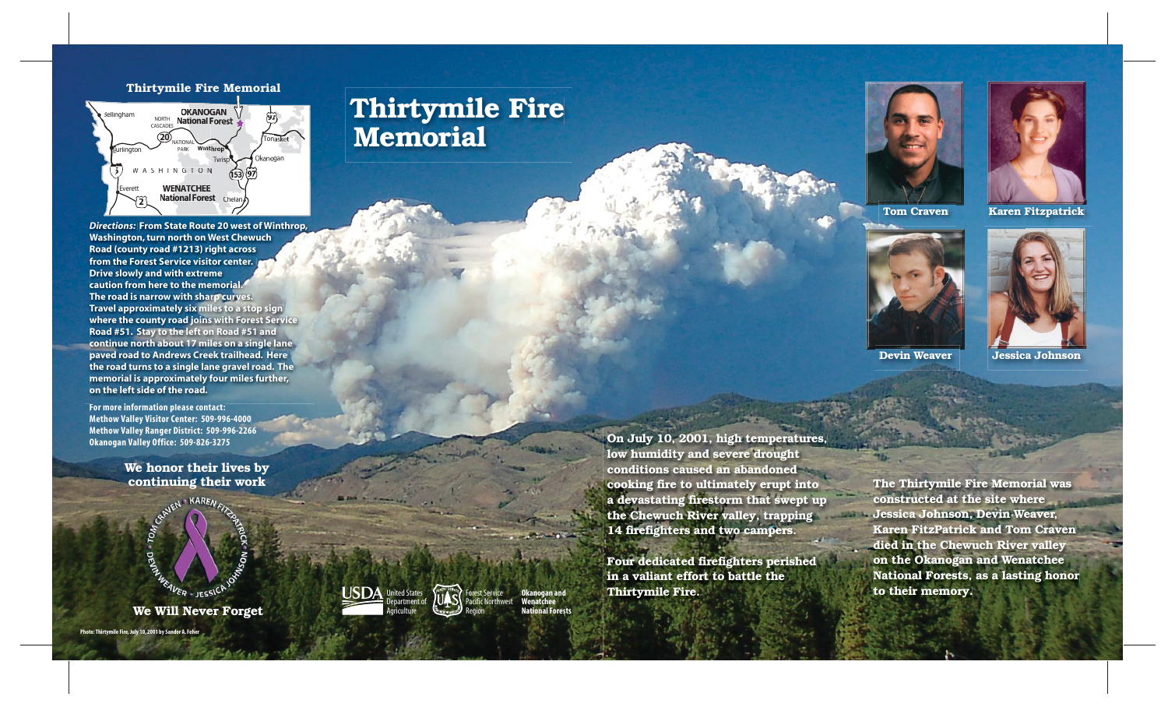# **Thirtymile Fire Memorial**

**On July 10, 2001, high temperatures, low humidity and severe drought conditions caused an abandoned cooking fire to ultimately erupt into a devastating firestorm that swept up the Chewuch River valley, trapping 14 firefighters and two campers.**

**Four dedicated firefighters perished in a valiant effort to battle the Thirtymile Fire.**

**We honor their lives by continuing their work**



**We Will Never Forget**

**Photo: Thirtymile Fire, July 10, 2001 by Sandor A. Feher**





Forest Service orthwest Region

**Okanogan and Wenatchee National Forests**

**The Thirtymile Fire Memorial was constructed at the site where Jessica Johnson, Devin Weaver, Karen FitzPatrick and Tom Craven died in the Chewuch River valley on the Okanogan and Wenatchee National Forests, as a lasting honor to their memory.**

**For more information please contact: Methow Valley Visitor Center: 509-996-4000 Methow Valley Ranger District: 509-996-2266 Okanogan Valley Office: 509-826-3275**

**Tom Craven**



**Devin Weaver**

1942



**Karen Fitzpatrick**



**Jessica Johnson**

*Directions:* **From State Route 20 west of Winthrop, Washington, turn north on West Chewuch Road (county road #1213) right across from the Forest Service visitor center. Drive slowly and with extreme caution from here to the memorial. The road is narrow with sharp curves. Travel approximately six miles to a stop sign where the county road joins with Forest Service Road #51. Stay to the left on Road #51 and continue north about 17 miles on a single lane paved road to Andrews Creek trailhead. Here the road turns to a single lane gravel road. The memorial is approximately four miles further, on the left side of the road.**



#### **Thirtymile Fire Memorial**